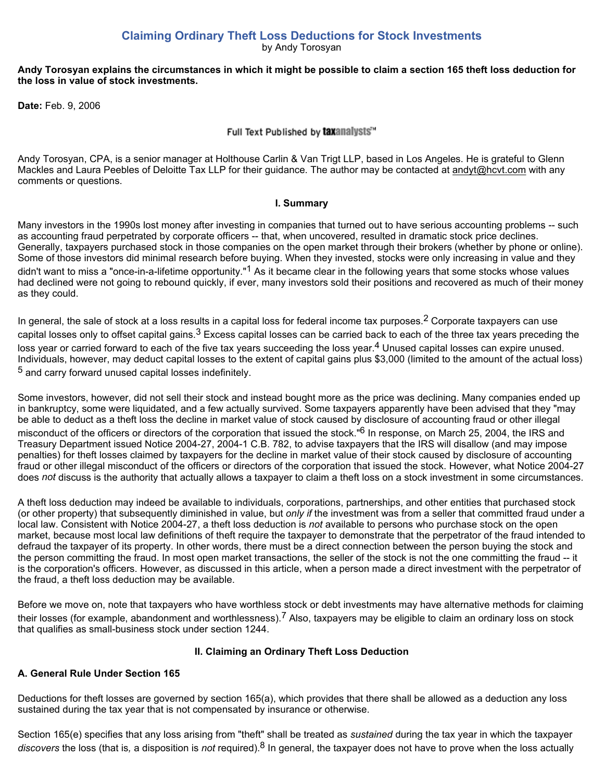**Claiming Ordinary Theft Loss Deductions for Stock Investments** by Andy Torosyan

#### **Andy Torosyan explains the circumstances in which it might be possible to claim a section 165 theft loss deduction for the loss in value of stock investments.**

**Date:** Feb. 9, 2006

Full Text Published by taxanalysts"

Andy Torosyan, CPA, is a senior manager at Holthouse Carlin & Van Trigt LLP, based in Los Angeles. He is grateful to Glenn Mackles and Laura Peebles of Deloitte Tax LLP for their guidance. The author may be contacted at andyt@hcvt.com with any comments or questions.

#### **I. Summary**

Many investors in the 1990s lost money after investing in companies that turned out to have serious accounting problems -- such as accounting fraud perpetrated by corporate officers -- that, when uncovered, resulted in dramatic stock price declines. Generally, taxpayers purchased stock in those companies on the open market through their brokers (whether by phone or online). Some of those investors did minimal research before buying. When they invested, stocks were only increasing in value and they didn't want to miss a "once-in-a-lifetime opportunity."<sup>1</sup> As it became clear in the following years that some stocks whose values had declined were not going to rebound quickly, if ever, many investors sold their positions and recovered as much of their money as they could.

In general, the sale of stock at a loss results in a capital loss for federal income tax purposes.<sup>2</sup> Corporate taxpayers can use capital losses only to offset capital gains.<sup>3</sup> Excess capital losses can be carried back to each of the three tax years preceding the loss year or carried forward to each of the five tax years succeeding the loss year.<sup>4</sup> Unused capital losses can expire unused. Individuals, however, may deduct capital losses to the extent of capital gains plus \$3,000 (limited to the amount of the actual loss) 5 and carry forward unused capital losses indefinitely.

Some investors, however, did not sell their stock and instead bought more as the price was declining. Many companies ended up in bankruptcy, some were liquidated, and a few actually survived. Some taxpayers apparently have been advised that they "may be able to deduct as a theft loss the decline in market value of stock caused by disclosure of accounting fraud or other illegal

misconduct of the officers or directors of the corporation that issued the stock."<sup>6</sup> In response, on March 25, 2004, the IRS and Treasury Department issued Notice 2004-27, 2004-1 C.B. 782, to advise taxpayers that the IRS will disallow (and may impose penalties) for theft losses claimed by taxpayers for the decline in market value of their stock caused by disclosure of accounting fraud or other illegal misconduct of the officers or directors of the corporation that issued the stock. However, what Notice 2004-27 does *not* discuss is the authority that actually allows a taxpayer to claim a theft loss on a stock investment in some circumstances.

A theft loss deduction may indeed be available to individuals, corporations, partnerships, and other entities that purchased stock (or other property) that subsequently diminished in value, but *only if* the investment was from a seller that committed fraud under a local law. Consistent with Notice 2004-27, a theft loss deduction is *not* available to persons who purchase stock on the open market, because most local law definitions of theft require the taxpayer to demonstrate that the perpetrator of the fraud intended to defraud the taxpayer of its property. In other words, there must be a direct connection between the person buying the stock and the person committing the fraud. In most open market transactions, the seller of the stock is not the one committing the fraud -- it is the corporation's officers. However, as discussed in this article, when a person made a direct investment with the perpetrator of the fraud, a theft loss deduction may be available.

Before we move on, note that taxpayers who have worthless stock or debt investments may have alternative methods for claiming their losses (for example, abandonment and worthlessness).<sup>7</sup> Also, taxpayers may be eligible to claim an ordinary loss on stock that qualifies as small-business stock under section 1244.

### **II. Claiming an Ordinary Theft Loss Deduction**

## **A. General Rule Under Section 165**

Deductions for theft losses are governed by section 165(a), which provides that there shall be allowed as a deduction any loss sustained during the tax year that is not compensated by insurance or otherwise.

Section 165(e) specifies that any loss arising from "theft" shall be treated as *sustained* during the tax year in which the taxpayer *discovers* the loss (that is*,* a disposition is *not* required).8 In general, the taxpayer does not have to prove when the loss actually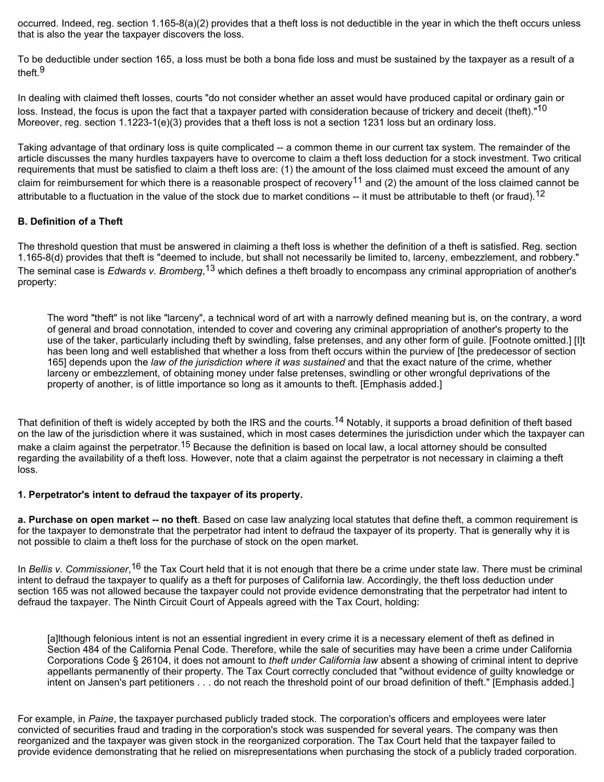occurred. Indeed, reg. section 1.165-8(a)(2) provides that a theft loss is not deductible in the year in which the theft occurs unless that is also the year the taxpayer discovers the loss.

To be deductible under section 165, a loss must be both a bona fide loss and must be sustained by the taxpayer as a result of a theft.9

In dealing with claimed theft losses, courts "do not consider whether an asset would have produced capital or ordinary gain or loss. Instead, the focus is upon the fact that a taxpayer parted with consideration because of trickery and deceit (theft)."<sup>10</sup> Moreover, reg. section 1.1223-1(e)(3) provides that a theft loss is not a section 1231 loss but an ordinary loss.

Taking advantage of that ordinary loss is quite complicated -- a common theme in our current tax system. The remainder of the article discusses the many hurdles taxpayers have to overcome to claim a theft loss deduction for a stock investment. Two critical requirements that must be satisfied to claim a theft loss are: (1) the amount of the loss claimed must exceed the amount of any claim for reimbursement for which there is a reasonable prospect of recovery<sup>11</sup> and (2) the amount of the loss claimed cannot be attributable to a fluctuation in the value of the stock due to market conditions -- it must be attributable to theft (or fraud).<sup>12</sup>

## **B. Definition of a Theft**

The threshold question that must be answered in claiming a theft loss is whether the definition of a theft is satisfied. Reg. section 1.165-8(d) provides that theft is "deemed to include, but shall not necessarily be limited to, larceny, embezzlement, and robbery." The seminal case is *Edwards v. Bromberg*, 13 which defines a theft broadly to encompass any criminal appropriation of another's property:

The word "theft" is not like "larceny", a technical word of art with a narrowly defined meaning but is, on the contrary, a word of general and broad connotation, intended to cover and covering any criminal appropriation of another's property to the use of the taker, particularly including theft by swindling, false pretenses, and any other form of guile. [Footnote omitted.] [I]t has been long and well established that whether a loss from theft occurs within the purview of [the predecessor of section 165] depends upon the *law of the jurisdiction where it was sustained* and that the exact nature of the crime, whether larceny or embezzlement, of obtaining money under false pretenses, swindling or other wrongful deprivations of the property of another, is of little importance so long as it amounts to theft. [Emphasis added.]

That definition of theft is widely accepted by both the IRS and the courts.<sup>14</sup> Notably, it supports a broad definition of theft based on the law of the jurisdiction where it was sustained, which in most cases determines the jurisdiction under which the taxpayer can make a claim against the perpetrator.<sup>15</sup> Because the definition is based on local law, a local attorney should be consulted regarding the availability of a theft loss. However, note that a claim against the perpetrator is not necessary in claiming a theft loss.

### **1. Perpetrator's intent to defraud the taxpayer of its property.**

**a. Purchase on open market -- no theft**. Based on case law analyzing local statutes that define theft, a common requirement is for the taxpayer to demonstrate that the perpetrator had intent to defraud the taxpayer of its property. That is generally why it is not possible to claim a theft loss for the purchase of stock on the open market.

In *Bellis v. Commissioner*,<sup>16</sup> the Tax Court held that it is not enough that there be a crime under state law. There must be criminal intent to defraud the taxpayer to qualify as a theft for purposes of California law. Accordingly, the theft loss deduction under section 165 was not allowed because the taxpayer could not provide evidence demonstrating that the perpetrator had intent to defraud the taxpayer. The Ninth Circuit Court of Appeals agreed with the Tax Court, holding:

[a]lthough felonious intent is not an essential ingredient in every crime it is a necessary element of theft as defined in Section 484 of the California Penal Code. Therefore, while the sale of securities may have been a crime under California Corporations Code § 26104, it does not amount to *theft under California law* absent a showing of criminal intent to deprive appellants permanently of their property. The Tax Court correctly concluded that "without evidence of guilty knowledge or intent on Jansen's part petitioners . . . do not reach the threshold point of our broad definition of theft." [Emphasis added.]

For example, in *Paine*, the taxpayer purchased publicly traded stock. The corporation's officers and employees were later convicted of securities fraud and trading in the corporation's stock was suspended for several years. The company was then reorganized and the taxpayer was given stock in the reorganized corporation. The Tax Court held that the taxpayer failed to provide evidence demonstrating that he relied on misrepresentations when purchasing the stock of a publicly traded corporation.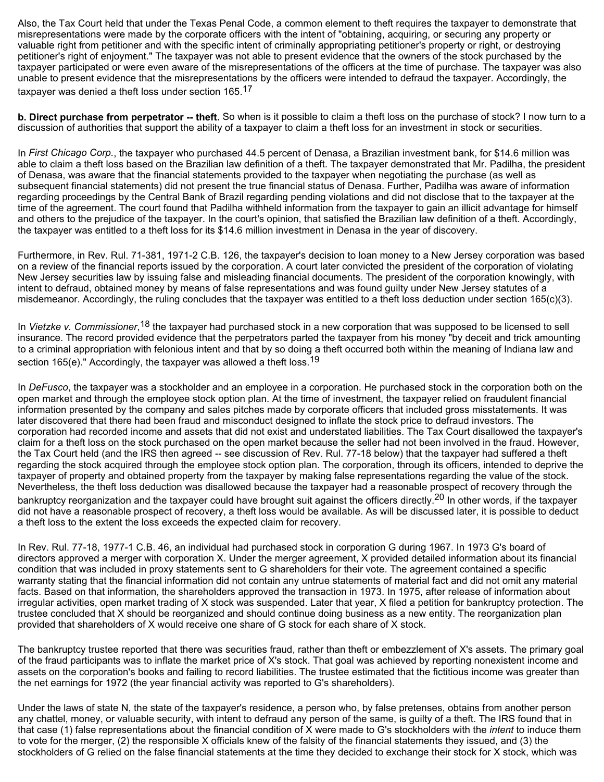Also, the Tax Court held that under the Texas Penal Code, a common element to theft requires the taxpayer to demonstrate that misrepresentations were made by the corporate officers with the intent of "obtaining, acquiring, or securing any property or valuable right from petitioner and with the specific intent of criminally appropriating petitioner's property or right, or destroying petitioner's right of enjoyment." The taxpayer was not able to present evidence that the owners of the stock purchased by the taxpayer participated or were even aware of the misrepresentations of the officers at the time of purchase. The taxpayer was also unable to present evidence that the misrepresentations by the officers were intended to defraud the taxpayer. Accordingly, the taxpayer was denied a theft loss under section 165.17

**b. Direct purchase from perpetrator -- theft.** So when is it possible to claim a theft loss on the purchase of stock? I now turn to a discussion of authorities that support the ability of a taxpayer to claim a theft loss for an investment in stock or securities.

In *First Chicago Corp.*, the taxpayer who purchased 44.5 percent of Denasa, a Brazilian investment bank, for \$14.6 million was able to claim a theft loss based on the Brazilian law definition of a theft. The taxpayer demonstrated that Mr. Padilha, the president of Denasa, was aware that the financial statements provided to the taxpayer when negotiating the purchase (as well as subsequent financial statements) did not present the true financial status of Denasa. Further, Padilha was aware of information regarding proceedings by the Central Bank of Brazil regarding pending violations and did not disclose that to the taxpayer at the time of the agreement. The court found that Padilha withheld information from the taxpayer to gain an illicit advantage for himself and others to the prejudice of the taxpayer. In the court's opinion, that satisfied the Brazilian law definition of a theft. Accordingly, the taxpayer was entitled to a theft loss for its \$14.6 million investment in Denasa in the year of discovery.

Furthermore, in Rev. Rul. 71-381, 1971-2 C.B. 126, the taxpayer's decision to loan money to a New Jersey corporation was based on a review of the financial reports issued by the corporation. A court later convicted the president of the corporation of violating New Jersey securities law by issuing false and misleading financial documents. The president of the corporation knowingly, with intent to defraud, obtained money by means of false representations and was found guilty under New Jersey statutes of a misdemeanor. Accordingly, the ruling concludes that the taxpayer was entitled to a theft loss deduction under section 165(c)(3).

In Vietzke v. Commissioner,<sup>18</sup> the taxpayer had purchased stock in a new corporation that was supposed to be licensed to sell insurance. The record provided evidence that the perpetrators parted the taxpayer from his money "by deceit and trick amounting to a criminal appropriation with felonious intent and that by so doing a theft occurred both within the meaning of Indiana law and section 165(e)." Accordingly, the taxpayer was allowed a theft loss.<sup>19</sup>

In *DeFusco*, the taxpayer was a stockholder and an employee in a corporation. He purchased stock in the corporation both on the open market and through the employee stock option plan. At the time of investment, the taxpayer relied on fraudulent financial information presented by the company and sales pitches made by corporate officers that included gross misstatements. It was later discovered that there had been fraud and misconduct designed to inflate the stock price to defraud investors. The corporation had recorded income and assets that did not exist and understated liabilities. The Tax Court disallowed the taxpayer's claim for a theft loss on the stock purchased on the open market because the seller had not been involved in the fraud. However, the Tax Court held (and the IRS then agreed -- see discussion of Rev. Rul. 77-18 below) that the taxpayer had suffered a theft regarding the stock acquired through the employee stock option plan. The corporation, through its officers, intended to deprive the taxpayer of property and obtained property from the taxpayer by making false representations regarding the value of the stock. Nevertheless, the theft loss deduction was disallowed because the taxpayer had a reasonable prospect of recovery through the bankruptcy reorganization and the taxpayer could have brought suit against the officers directly.<sup>20</sup> In other words, if the taxpayer did not have a reasonable prospect of recovery, a theft loss would be available. As will be discussed later, it is possible to deduct a theft loss to the extent the loss exceeds the expected claim for recovery.

In Rev. Rul. 77-18, 1977-1 C.B. 46, an individual had purchased stock in corporation G during 1967. In 1973 G's board of directors approved a merger with corporation X. Under the merger agreement, X provided detailed information about its financial condition that was included in proxy statements sent to G shareholders for their vote. The agreement contained a specific warranty stating that the financial information did not contain any untrue statements of material fact and did not omit any material facts. Based on that information, the shareholders approved the transaction in 1973. In 1975, after release of information about irregular activities, open market trading of X stock was suspended. Later that year, X filed a petition for bankruptcy protection. The trustee concluded that X should be reorganized and should continue doing business as a new entity. The reorganization plan provided that shareholders of X would receive one share of G stock for each share of X stock.

The bankruptcy trustee reported that there was securities fraud, rather than theft or embezzlement of X's assets. The primary goal of the fraud participants was to inflate the market price of X's stock. That goal was achieved by reporting nonexistent income and assets on the corporation's books and failing to record liabilities. The trustee estimated that the fictitious income was greater than the net earnings for 1972 (the year financial activity was reported to G's shareholders).

Under the laws of state N, the state of the taxpayer's residence, a person who, by false pretenses, obtains from another person any chattel, money, or valuable security, with intent to defraud any person of the same, is guilty of a theft. The IRS found that in that case (1) false representations about the financial condition of X were made to G's stockholders with the *intent* to induce them to vote for the merger, (2) the responsible X officials knew of the falsity of the financial statements they issued, and (3) the stockholders of G relied on the false financial statements at the time they decided to exchange their stock for X stock, which was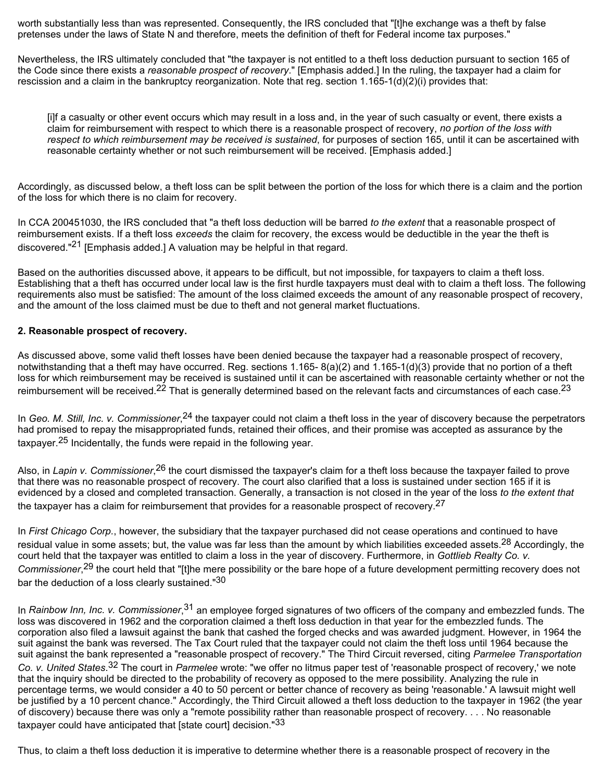worth substantially less than was represented. Consequently, the IRS concluded that "[t]he exchange was a theft by false pretenses under the laws of State N and therefore, meets the definition of theft for Federal income tax purposes."

Nevertheless, the IRS ultimately concluded that "the taxpayer is not entitled to a theft loss deduction pursuant to section 165 of the Code since there exists a *reasonable prospect of recovery*." [Emphasis added.] In the ruling, the taxpayer had a claim for rescission and a claim in the bankruptcy reorganization. Note that reg. section 1.165-1(d)(2)(i) provides that:

[i]f a casualty or other event occurs which may result in a loss and, in the year of such casualty or event, there exists a claim for reimbursement with respect to which there is a reasonable prospect of recovery, *no portion of the loss with respect to which reimbursement may be received is sustained*, for purposes of section 165, until it can be ascertained with reasonable certainty whether or not such reimbursement will be received. [Emphasis added.]

Accordingly, as discussed below, a theft loss can be split between the portion of the loss for which there is a claim and the portion of the loss for which there is no claim for recovery.

In CCA 200451030, the IRS concluded that "a theft loss deduction will be barred *to the extent* that a reasonable prospect of reimbursement exists. If a theft loss *exceeds* the claim for recovery, the excess would be deductible in the year the theft is discovered."<sup>21</sup> [Emphasis added.] A valuation may be helpful in that regard.

Based on the authorities discussed above, it appears to be difficult, but not impossible, for taxpayers to claim a theft loss. Establishing that a theft has occurred under local law is the first hurdle taxpayers must deal with to claim a theft loss. The following requirements also must be satisfied: The amount of the loss claimed exceeds the amount of any reasonable prospect of recovery, and the amount of the loss claimed must be due to theft and not general market fluctuations.

## **2. Reasonable prospect of recovery.**

As discussed above, some valid theft losses have been denied because the taxpayer had a reasonable prospect of recovery, notwithstanding that a theft may have occurred. Reg. sections 1.165- 8(a)(2) and 1.165-1(d)(3) provide that no portion of a theft loss for which reimbursement may be received is sustained until it can be ascertained with reasonable certainty whether or not the reimbursement will be received.<sup>22</sup> That is generally determined based on the relevant facts and circumstances of each case.<sup>23</sup>

In *Geo. M. Still, Inc. v. Commissioner*,<sup>24</sup> the taxpayer could not claim a theft loss in the year of discovery because the perpetrators had promised to repay the misappropriated funds, retained their offices, and their promise was accepted as assurance by the taxpayer.<sup>25</sup> Incidentally, the funds were repaid in the following year.

Also, in Lapin v. Commissioner,<sup>26</sup> the court dismissed the taxpayer's claim for a theft loss because the taxpayer failed to prove that there was no reasonable prospect of recovery. The court also clarified that a loss is sustained under section 165 if it is evidenced by a closed and completed transaction. Generally, a transaction is not closed in the year of the loss *to the extent that* the taxpayer has a claim for reimbursement that provides for a reasonable prospect of recovery.<sup>27</sup>

In *First Chicago Corp.*, however, the subsidiary that the taxpayer purchased did not cease operations and continued to have residual value in some assets; but, the value was far less than the amount by which liabilities exceeded assets.<sup>28</sup> Accordingly, the court held that the taxpayer was entitled to claim a loss in the year of discovery. Furthermore, in *Gottlieb Realty Co. v. Commissioner*, 29 the court held that "[t]he mere possibility or the bare hope of a future development permitting recovery does not bar the deduction of a loss clearly sustained."30

In *Rainbow Inn, Inc. v. Commissioner*,<sup>31</sup> an employee forged signatures of two officers of the company and embezzled funds. The loss was discovered in 1962 and the corporation claimed a theft loss deduction in that year for the embezzled funds. The corporation also filed a lawsuit against the bank that cashed the forged checks and was awarded judgment. However, in 1964 the suit against the bank was reversed. The Tax Court ruled that the taxpayer could not claim the theft loss until 1964 because the suit against the bank represented a "reasonable prospect of recovery." The Third Circuit reversed, citing *Parmelee Transportation Co. v. United States*. 32 The court in *Parmelee* wrote: "we offer no litmus paper test of 'reasonable prospect of recovery,' we note that the inquiry should be directed to the probability of recovery as opposed to the mere possibility. Analyzing the rule in percentage terms, we would consider a 40 to 50 percent or better chance of recovery as being 'reasonable.' A lawsuit might well be justified by a 10 percent chance." Accordingly, the Third Circuit allowed a theft loss deduction to the taxpayer in 1962 (the year of discovery) because there was only a "remote possibility rather than reasonable prospect of recovery. . . . No reasonable taxpayer could have anticipated that [state court] decision."33

Thus, to claim a theft loss deduction it is imperative to determine whether there is a reasonable prospect of recovery in the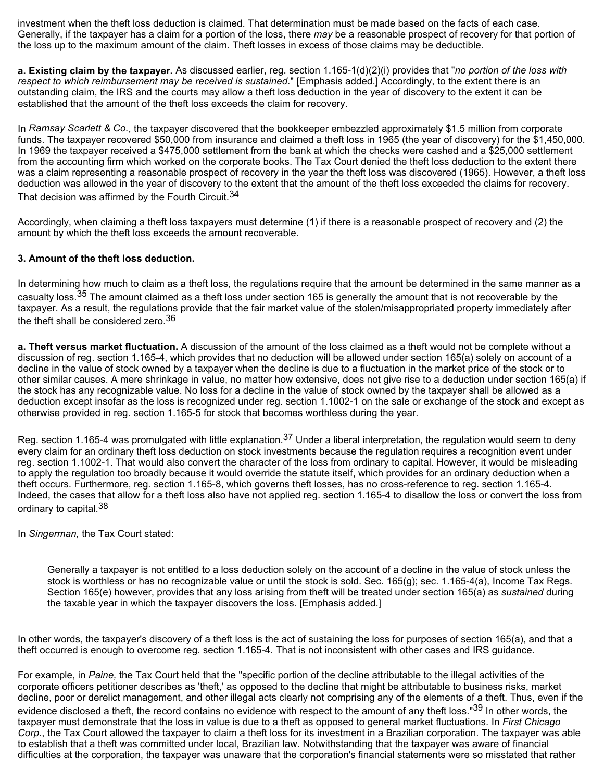investment when the theft loss deduction is claimed. That determination must be made based on the facts of each case. Generally, if the taxpayer has a claim for a portion of the loss, there *may* be a reasonable prospect of recovery for that portion of the loss up to the maximum amount of the claim. Theft losses in excess of those claims may be deductible.

**a. Existing claim by the taxpayer.** As discussed earlier, reg. section 1.165-1(d)(2)(i) provides that "*no portion of the loss with respect to which reimbursement may be received is sustained*." [Emphasis added.] Accordingly, to the extent there is an outstanding claim, the IRS and the courts may allow a theft loss deduction in the year of discovery to the extent it can be established that the amount of the theft loss exceeds the claim for recovery.

In *Ramsay Scarlett & Co.*, the taxpayer discovered that the bookkeeper embezzled approximately \$1.5 million from corporate funds. The taxpayer recovered \$50,000 from insurance and claimed a theft loss in 1965 (the year of discovery) for the \$1,450,000. In 1969 the taxpayer received a \$475,000 settlement from the bank at which the checks were cashed and a \$25,000 settlement from the accounting firm which worked on the corporate books. The Tax Court denied the theft loss deduction to the extent there was a claim representing a reasonable prospect of recovery in the year the theft loss was discovered (1965). However, a theft loss deduction was allowed in the year of discovery to the extent that the amount of the theft loss exceeded the claims for recovery. That decision was affirmed by the Fourth Circuit.<sup>34</sup>

Accordingly, when claiming a theft loss taxpayers must determine (1) if there is a reasonable prospect of recovery and (2) the amount by which the theft loss exceeds the amount recoverable.

## **3. Amount of the theft loss deduction.**

In determining how much to claim as a theft loss, the regulations require that the amount be determined in the same manner as a casualty loss.<sup>35</sup> The amount claimed as a theft loss under section 165 is generally the amount that is not recoverable by the taxpayer. As a result, the regulations provide that the fair market value of the stolen/misappropriated property immediately after the theft shall be considered zero.<sup>36</sup>

**a. Theft versus market fluctuation.** A discussion of the amount of the loss claimed as a theft would not be complete without a discussion of reg. section 1.165-4, which provides that no deduction will be allowed under section 165(a) solely on account of a decline in the value of stock owned by a taxpayer when the decline is due to a fluctuation in the market price of the stock or to other similar causes. A mere shrinkage in value, no matter how extensive, does not give rise to a deduction under section 165(a) if the stock has any recognizable value. No loss for a decline in the value of stock owned by the taxpayer shall be allowed as a deduction except insofar as the loss is recognized under reg. section 1.1002-1 on the sale or exchange of the stock and except as otherwise provided in reg. section 1.165-5 for stock that becomes worthless during the year.

Reg. section 1.165-4 was promulgated with little explanation.<sup>37</sup> Under a liberal interpretation, the regulation would seem to deny every claim for an ordinary theft loss deduction on stock investments because the regulation requires a recognition event under reg. section 1.1002-1. That would also convert the character of the loss from ordinary to capital. However, it would be misleading to apply the regulation too broadly because it would override the statute itself, which provides for an ordinary deduction when a theft occurs. Furthermore, reg. section 1.165-8, which governs theft losses, has no cross-reference to reg. section 1.165-4. Indeed, the cases that allow for a theft loss also have not applied reg. section 1.165-4 to disallow the loss or convert the loss from ordinary to capital.<sup>38</sup>

In *Singerman,* the Tax Court stated:

Generally a taxpayer is not entitled to a loss deduction solely on the account of a decline in the value of stock unless the stock is worthless or has no recognizable value or until the stock is sold. Sec. 165(g); sec. 1.165-4(a), Income Tax Regs. Section 165(e) however, provides that any loss arising from theft will be treated under section 165(a) as *sustained* during the taxable year in which the taxpayer discovers the loss. [Emphasis added.]

In other words, the taxpayer's discovery of a theft loss is the act of sustaining the loss for purposes of section 165(a), and that a theft occurred is enough to overcome reg. section 1.165-4. That is not inconsistent with other cases and IRS guidance.

For example, in *Paine,* the Tax Court held that the "specific portion of the decline attributable to the illegal activities of the corporate officers petitioner describes as 'theft,' as opposed to the decline that might be attributable to business risks, market decline, poor or derelict management, and other illegal acts clearly not comprising any of the elements of a theft. Thus, even if the evidence disclosed a theft, the record contains no evidence with respect to the amount of any theft loss."<sup>39</sup> In other words, the

taxpayer must demonstrate that the loss in value is due to a theft as opposed to general market fluctuations. In *First Chicago Corp.*, the Tax Court allowed the taxpayer to claim a theft loss for its investment in a Brazilian corporation. The taxpayer was able to establish that a theft was committed under local, Brazilian law. Notwithstanding that the taxpayer was aware of financial difficulties at the corporation, the taxpayer was unaware that the corporation's financial statements were so misstated that rather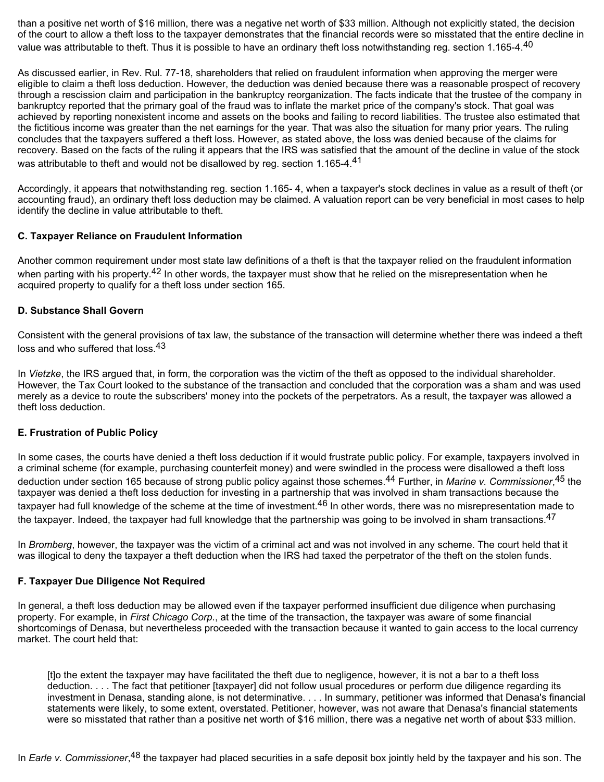than a positive net worth of \$16 million, there was a negative net worth of \$33 million. Although not explicitly stated, the decision of the court to allow a theft loss to the taxpayer demonstrates that the financial records were so misstated that the entire decline in value was attributable to theft. Thus it is possible to have an ordinary theft loss notwithstanding reg. section 1.165-4.<sup>40</sup>

As discussed earlier, in Rev. Rul. 77-18, shareholders that relied on fraudulent information when approving the merger were eligible to claim a theft loss deduction. However, the deduction was denied because there was a reasonable prospect of recovery through a rescission claim and participation in the bankruptcy reorganization. The facts indicate that the trustee of the company in bankruptcy reported that the primary goal of the fraud was to inflate the market price of the company's stock. That goal was achieved by reporting nonexistent income and assets on the books and failing to record liabilities. The trustee also estimated that the fictitious income was greater than the net earnings for the year. That was also the situation for many prior years. The ruling concludes that the taxpayers suffered a theft loss. However, as stated above, the loss was denied because of the claims for recovery. Based on the facts of the ruling it appears that the IRS was satisfied that the amount of the decline in value of the stock was attributable to theft and would not be disallowed by reg. section 1.165-4.<sup>41</sup>

Accordingly, it appears that notwithstanding reg. section 1.165- 4, when a taxpayer's stock declines in value as a result of theft (or accounting fraud), an ordinary theft loss deduction may be claimed. A valuation report can be very beneficial in most cases to help identify the decline in value attributable to theft.

## **C. Taxpayer Reliance on Fraudulent Information**

Another common requirement under most state law definitions of a theft is that the taxpayer relied on the fraudulent information when parting with his property.<sup>42</sup> In other words, the taxpayer must show that he relied on the misrepresentation when he acquired property to qualify for a theft loss under section 165.

## **D. Substance Shall Govern**

Consistent with the general provisions of tax law, the substance of the transaction will determine whether there was indeed a theft loss and who suffered that loss.<sup>43</sup>

In *Vietzke*, the IRS argued that, in form, the corporation was the victim of the theft as opposed to the individual shareholder. However, the Tax Court looked to the substance of the transaction and concluded that the corporation was a sham and was used merely as a device to route the subscribers' money into the pockets of the perpetrators. As a result, the taxpayer was allowed a theft loss deduction.

## **E. Frustration of Public Policy**

In some cases, the courts have denied a theft loss deduction if it would frustrate public policy. For example, taxpayers involved in a criminal scheme (for example, purchasing counterfeit money) and were swindled in the process were disallowed a theft loss deduction under section 165 because of strong public policy against those schemes.<sup>44</sup> Further, in *Marine v. Commissioner*,<sup>45</sup> the taxpayer was denied a theft loss deduction for investing in a partnership that was involved in sham transactions because the taxpayer had full knowledge of the scheme at the time of investment.<sup>46</sup> In other words, there was no misrepresentation made to the taxpayer. Indeed, the taxpayer had full knowledge that the partnership was going to be involved in sham transactions.<sup>47</sup>

In *Bromberg*, however, the taxpayer was the victim of a criminal act and was not involved in any scheme. The court held that it was illogical to deny the taxpayer a theft deduction when the IRS had taxed the perpetrator of the theft on the stolen funds.

### **F. Taxpayer Due Diligence Not Required**

In general, a theft loss deduction may be allowed even if the taxpayer performed insufficient due diligence when purchasing property. For example, in *First Chicago Corp.*, at the time of the transaction, the taxpayer was aware of some financial shortcomings of Denasa, but nevertheless proceeded with the transaction because it wanted to gain access to the local currency market. The court held that:

[t]o the extent the taxpayer may have facilitated the theft due to negligence, however, it is not a bar to a theft loss deduction. . . . The fact that petitioner [taxpayer] did not follow usual procedures or perform due diligence regarding its investment in Denasa, standing alone, is not determinative. . . . In summary, petitioner was informed that Denasa's financial statements were likely, to some extent, overstated. Petitioner, however, was not aware that Denasa's financial statements were so misstated that rather than a positive net worth of \$16 million, there was a negative net worth of about \$33 million.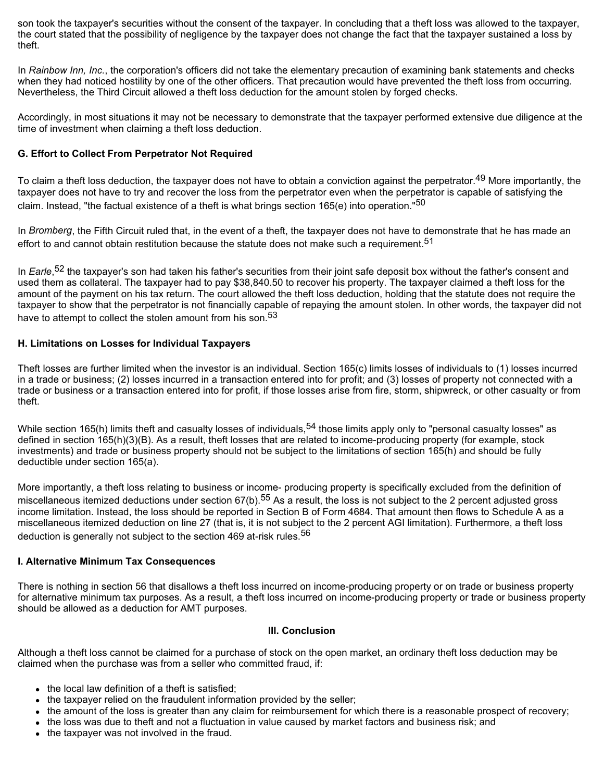son took the taxpayer's securities without the consent of the taxpayer. In concluding that a theft loss was allowed to the taxpayer, the court stated that the possibility of negligence by the taxpayer does not change the fact that the taxpayer sustained a loss by theft.

In *Rainbow Inn, Inc.*, the corporation's officers did not take the elementary precaution of examining bank statements and checks when they had noticed hostility by one of the other officers. That precaution would have prevented the theft loss from occurring. Nevertheless, the Third Circuit allowed a theft loss deduction for the amount stolen by forged checks.

Accordingly, in most situations it may not be necessary to demonstrate that the taxpayer performed extensive due diligence at the time of investment when claiming a theft loss deduction.

## **G. Effort to Collect From Perpetrator Not Required**

To claim a theft loss deduction, the taxpayer does not have to obtain a conviction against the perpetrator.<sup>49</sup> More importantly, the taxpayer does not have to try and recover the loss from the perpetrator even when the perpetrator is capable of satisfying the claim. Instead, "the factual existence of a theft is what brings section 165(e) into operation."<sup>50</sup>

In *Bromberg*, the Fifth Circuit ruled that, in the event of a theft, the taxpayer does not have to demonstrate that he has made an effort to and cannot obtain restitution because the statute does not make such a requirement.<sup>51</sup>

In *Earle*,<sup>52</sup> the taxpayer's son had taken his father's securities from their joint safe deposit box without the father's consent and used them as collateral. The taxpayer had to pay \$38,840.50 to recover his property. The taxpayer claimed a theft loss for the amount of the payment on his tax return. The court allowed the theft loss deduction, holding that the statute does not require the taxpayer to show that the perpetrator is not financially capable of repaying the amount stolen. In other words, the taxpayer did not have to attempt to collect the stolen amount from his son.<sup>53</sup>

## **H. Limitations on Losses for Individual Taxpayers**

Theft losses are further limited when the investor is an individual. Section 165(c) limits losses of individuals to (1) losses incurred in a trade or business; (2) losses incurred in a transaction entered into for profit; and (3) losses of property not connected with a trade or business or a transaction entered into for profit, if those losses arise from fire, storm, shipwreck, or other casualty or from theft.

While section 165(h) limits theft and casualty losses of individuals,  $54$  those limits apply only to "personal casualty losses" as defined in section 165(h)(3)(B). As a result, theft losses that are related to income-producing property (for example, stock investments) and trade or business property should not be subject to the limitations of section 165(h) and should be fully deductible under section 165(a).

More importantly, a theft loss relating to business or income- producing property is specifically excluded from the definition of miscellaneous itemized deductions under section 67(b).<sup>55</sup> As a result, the loss is not subject to the 2 percent adjusted gross income limitation. Instead, the loss should be reported in Section B of Form 4684. That amount then flows to Schedule A as a miscellaneous itemized deduction on line 27 (that is, it is not subject to the 2 percent AGI limitation). Furthermore, a theft loss deduction is generally not subject to the section 469 at-risk rules.<sup>56</sup>

## **I. Alternative Minimum Tax Consequences**

There is nothing in section 56 that disallows a theft loss incurred on income-producing property or on trade or business property for alternative minimum tax purposes. As a result, a theft loss incurred on income-producing property or trade or business property should be allowed as a deduction for AMT purposes.

### **III. Conclusion**

Although a theft loss cannot be claimed for a purchase of stock on the open market, an ordinary theft loss deduction may be claimed when the purchase was from a seller who committed fraud, if:

- $\bullet$  the local law definition of a theft is satisfied;
- the taxpayer relied on the fraudulent information provided by the seller;
- the amount of the loss is greater than any claim for reimbursement for which there is a reasonable prospect of recovery;
- the loss was due to theft and not a fluctuation in value caused by market factors and business risk; and
- the taxpayer was not involved in the fraud.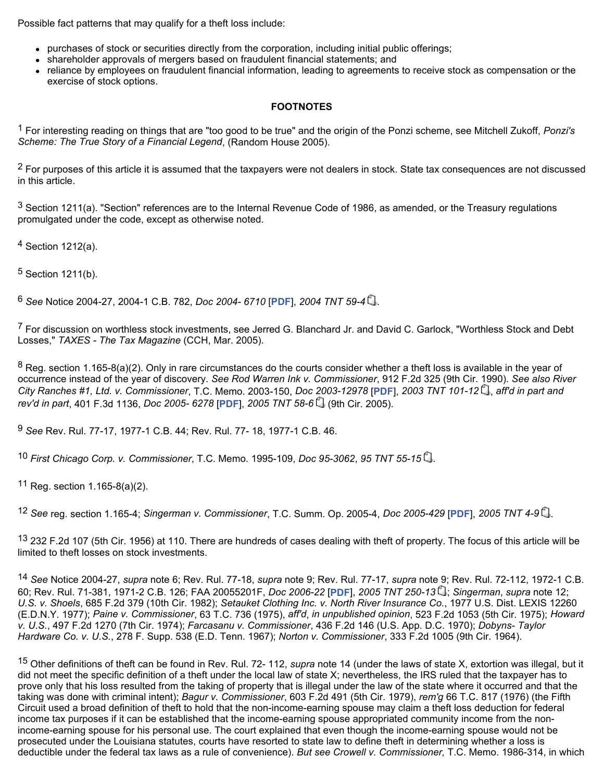Possible fact patterns that may qualify for a theft loss include:

- purchases of stock or securities directly from the corporation, including initial public offerings;
- shareholder approvals of mergers based on fraudulent financial statements; and
- reliance by employees on fraudulent financial information, leading to agreements to receive stock as compensation or the exercise of stock options.

# **FOOTNOTES**

1 For interesting reading on things that are "too good to be true" and the origin of the Ponzi scheme, see Mitchell Zukoff, *Ponzi's Scheme: The True Story of a Financial Legend*, (Random House 2005).

<sup>2</sup> For purposes of this article it is assumed that the taxpayers were not dealers in stock. State tax consequences are not discussed in this article.

3 Section 1211(a). "Section" references are to the Internal Revenue Code of 1986, as amended, or the Treasury regulations promulgated under the code, except as otherwise noted.

4 Section 1212(a).

5 Section 1211(b).

6 *See* Notice 2004-27, 2004-1 C.B. 782, *Doc 2004- 6710* [**PDF**], *2004 TNT 59-4* .

 $^7$  For discussion on worthless stock investments, see Jerred G. Blanchard Jr. and David C. Garlock, "Worthless Stock and Debt Losses," *TAXES - The Tax Magazine* (CCH, Mar. 2005).

 $8$  Reg. section 1.165-8(a)(2). Only in rare circumstances do the courts consider whether a theft loss is available in the year of occurrence instead of the year of discovery. *See Rod Warren Ink v. Commissioner*, 912 F.2d 325 (9th Cir. 1990). *See also River City Ranches #1, Ltd. v. Commissioner*, T.C. Memo. 2003-150, *Doc 2003-12978* [**PDF**], *2003 TNT 101-12* , *aff'd in part and rev'd in part*, 401 F.3d 1136, *Doc 2005- 6278* [**PDF**], *2005 TNT 58-6* (9th Cir. 2005).

9 *See* Rev. Rul. 77-17, 1977-1 C.B. 44; Rev. Rul. 77- 18, 1977-1 C.B. 46.

10 *First Chicago Corp. v. Commissioner*, T.C. Memo. 1995-109, *Doc 95-3062*, *95 TNT 55-15* .

 $11$  Reg. section 1.165-8(a)(2).

12 *See* reg. section 1.165-4; *Singerman v. Commissioner*, T.C. Summ. Op. 2005-4, *Doc 2005-429* [**PDF**], *2005 TNT 4-9* .

<sup>13</sup> 232 F.2d 107 (5th Cir. 1956) at 110. There are hundreds of cases dealing with theft of property. The focus of this article will be limited to theft losses on stock investments.

14 *See* Notice 2004-27, *supra* note 6; Rev. Rul. 77-18, *supra* note 9; Rev. Rul. 77-17, *supra* note 9; Rev. Rul. 72-112, 1972-1 C.B. 60; Rev. Rul. 71-381, 1971-2 C.B. 126; FAA 20055201F, *Doc 2006-22* [**PDF**], *2005 TNT 250-13* ; *Singerman*, *supra* note 12; *U.S. v. Shoels*, 685 F.2d 379 (10th Cir. 1982); *Setauket Clothing Inc. v. North River Insurance Co.*, 1977 U.S. Dist. LEXIS 12260 (E.D.N.Y. 1977); *Paine v. Commissioner*, 63 T.C. 736 (1975), *aff'd*, *in unpublished opinion*, 523 F.2d 1053 (5th Cir. 1975); *Howard v. U.S.*, 497 F.2d 1270 (7th Cir. 1974); *Farcasanu v. Commissioner*, 436 F.2d 146 (U.S. App. D.C. 1970); *Dobyns- Taylor Hardware Co. v. U.S.*, 278 F. Supp. 538 (E.D. Tenn. 1967); *Norton v. Commissioner*, 333 F.2d 1005 (9th Cir. 1964).

15 Other definitions of theft can be found in Rev. Rul. 72- 112, *supra* note 14 (under the laws of state X, extortion was illegal, but it did not meet the specific definition of a theft under the local law of state X; nevertheless, the IRS ruled that the taxpayer has to prove only that his loss resulted from the taking of property that is illegal under the law of the state where it occurred and that the taking was done with criminal intent); *Bagur v. Commissioner*, 603 F.2d 491 (5th Cir. 1979), *rem'g* 66 T.C. 817 (1976) (the Fifth Circuit used a broad definition of theft to hold that the non-income-earning spouse may claim a theft loss deduction for federal income tax purposes if it can be established that the income-earning spouse appropriated community income from the nonincome-earning spouse for his personal use. The court explained that even though the income-earning spouse would not be prosecuted under the Louisiana statutes, courts have resorted to state law to define theft in determining whether a loss is deductible under the federal tax laws as a rule of convenience). *But see Crowell v. Commissioner,* T.C. Memo. 1986-314, in which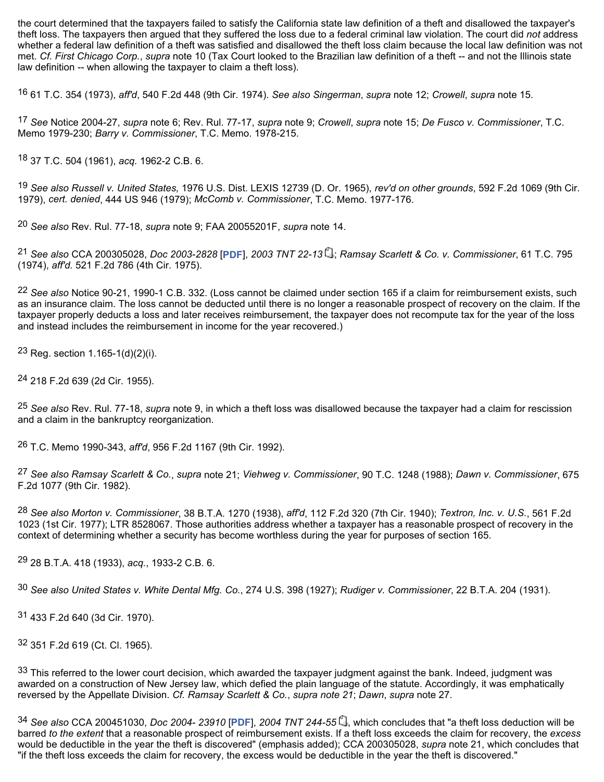the court determined that the taxpayers failed to satisfy the California state law definition of a theft and disallowed the taxpayer's theft loss. The taxpayers then argued that they suffered the loss due to a federal criminal law violation. The court did *not* address whether a federal law definition of a theft was satisfied and disallowed the theft loss claim because the local law definition was not met. *Cf. First Chicago Corp.*, *supra* note 10 (Tax Court looked to the Brazilian law definition of a theft -- and not the Illinois state law definition -- when allowing the taxpayer to claim a theft loss).

16 61 T.C. 354 (1973), *aff'd*, 540 F.2d 448 (9th Cir. 1974). *See also Singerman*, *supra* note 12; *Crowell*, *supra* note 15.

17 *See* Notice 2004-27, *supra* note 6; Rev. Rul. 77-17, *supra* note 9; *Crowell*, *supra* note 15; *De Fusco v. Commissioner*, T.C. Memo 1979-230; *Barry v. Commissioner*, T.C. Memo. 1978-215.

18 37 T.C. 504 (1961), *acq.* 1962-2 C.B. 6.

19 *See also Russell v. United States,* 1976 U.S. Dist. LEXIS 12739 (D. Or. 1965), *rev'd on other grounds*, 592 F.2d 1069 (9th Cir. 1979), *cert. denied*, 444 US 946 (1979); *McComb v. Commissioner*, T.C. Memo. 1977-176.

20 *See also* Rev. Rul. 77-18, *supra* note 9; FAA 20055201F, *supra* note 14.

21 *See also* CCA 200305028, *Doc 2003-2828* [**PDF**], *2003 TNT 22-13* ; *Ramsay Scarlett & Co. v. Commissioner*, 61 T.C. 795 (1974), *aff'd.* 521 F.2d 786 (4th Cir. 1975).

22 *See also* Notice 90-21, 1990-1 C.B. 332. (Loss cannot be claimed under section 165 if a claim for reimbursement exists, such as an insurance claim. The loss cannot be deducted until there is no longer a reasonable prospect of recovery on the claim. If the taxpayer properly deducts a loss and later receives reimbursement, the taxpayer does not recompute tax for the year of the loss and instead includes the reimbursement in income for the year recovered.)

23 Reg. section  $1.165 - 1(d)(2)(i)$ .

24 218 F.2d 639 (2d Cir. 1955).

25 *See also* Rev. Rul. 77-18, *supra* note 9, in which a theft loss was disallowed because the taxpayer had a claim for rescission and a claim in the bankruptcy reorganization.

26 T.C. Memo 1990-343, *aff'd*, 956 F.2d 1167 (9th Cir. 1992).

27 *See also Ramsay Scarlett & Co.*, *supra* note 21; *Viehweg v. Commissioner*, 90 T.C. 1248 (1988); *Dawn v. Commissioner*, 675 F.2d 1077 (9th Cir. 1982).

28 *See also Morton v. Commissioner*, 38 B.T.A. 1270 (1938), *aff'd*, 112 F.2d 320 (7th Cir. 1940); *Textron, Inc. v. U.S.*, 561 F.2d 1023 (1st Cir. 1977); LTR 8528067. Those authorities address whether a taxpayer has a reasonable prospect of recovery in the context of determining whether a security has become worthless during the year for purposes of section 165.

29 28 B.T.A. 418 (1933), *acq.*, 1933-2 C.B. 6.

30 *See also United States v. White Dental Mfg. Co.*, 274 U.S. 398 (1927); *Rudiger v. Commissioner*, 22 B.T.A. 204 (1931).

31 433 F.2d 640 (3d Cir. 1970).

32 351 F.2d 619 (Ct. Cl. 1965).

33 This referred to the lower court decision, which awarded the taxpayer judgment against the bank. Indeed, judgment was awarded on a construction of New Jersey law, which defied the plain language of the statute. Accordingly, it was emphatically reversed by the Appellate Division. *Cf. Ramsay Scarlett & Co.*, *supra note 21*; *Dawn*, *supra* note 27.

34 See also CCA 200451030, *Doc 2004- 23910* [PDF], 2004 TNT 244-55 , which concludes that "a theft loss deduction will be barred *to the extent* that a reasonable prospect of reimbursement exists. If a theft loss exceeds the claim for recovery, the *excess* would be deductible in the year the theft is discovered" (emphasis added); CCA 200305028, *supra* note 21, which concludes that "if the theft loss exceeds the claim for recovery, the excess would be deductible in the year the theft is discovered."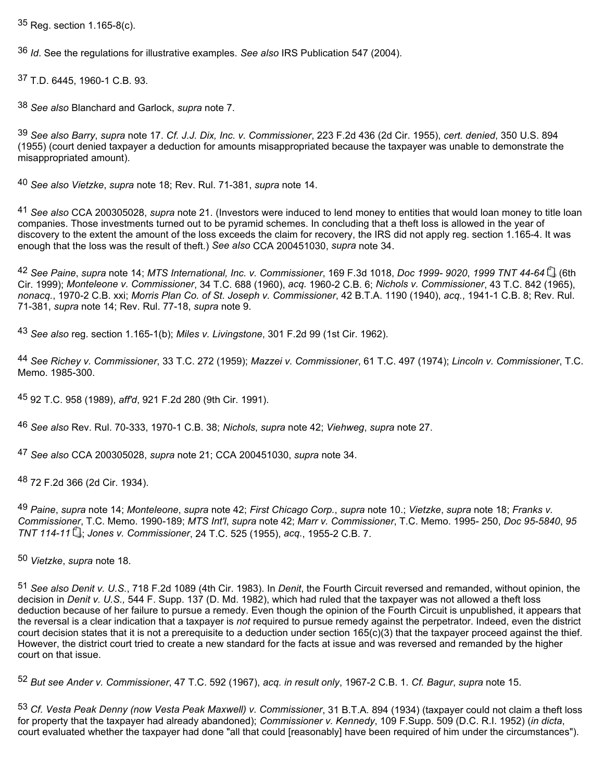35 Reg. section 1.165-8(c).

36 *Id*. See the regulations for illustrative examples. *See also* IRS Publication 547 (2004).

37 T.D. 6445, 1960-1 C.B. 93.

38 *See also* Blanchard and Garlock, *supra* note 7.

39 *See also Barry*, *supra* note 17. *Cf. J.J. Dix, Inc. v. Commissioner*, 223 F.2d 436 (2d Cir. 1955), *cert. denied*, 350 U.S. 894 (1955) (court denied taxpayer a deduction for amounts misappropriated because the taxpayer was unable to demonstrate the misappropriated amount).

40 *See also Vietzke*, *supra* note 18; Rev. Rul. 71-381, *supra* note 14.

41 *See also* CCA 200305028, *supra* note 21. (Investors were induced to lend money to entities that would loan money to title loan companies. Those investments turned out to be pyramid schemes. In concluding that a theft loss is allowed in the year of discovery to the extent the amount of the loss exceeds the claim for recovery, the IRS did not apply reg. section 1.165-4. It was enough that the loss was the result of theft.) *See also* CCA 200451030, *supra* note 34.

42 *See Paine*, *supra* note 14; *MTS International, Inc. v. Commissioner*, 169 F.3d 1018, *Doc 1999- 9020*, *1999 TNT 44-64* (6th Cir. 1999); *Monteleone v. Commissioner*, 34 T.C. 688 (1960), *acq.* 1960-2 C.B. 6; *Nichols v. Commissioner*, 43 T.C. 842 (1965), *nonacq.*, 1970-2 C.B. xxi; *Morris Plan Co. of St. Joseph v. Commissioner*, 42 B.T.A. 1190 (1940), *acq.*, 1941-1 C.B. 8; Rev. Rul. 71-381, *supra* note 14; Rev. Rul. 77-18, *supra* note 9.

43 *See also* reg. section 1.165-1(b); *Miles v. Livingstone*, 301 F.2d 99 (1st Cir. 1962).

44 *See Richey v. Commissioner*, 33 T.C. 272 (1959); *Mazzei v. Commissioner*, 61 T.C. 497 (1974); *Lincoln v. Commissioner*, T.C. Memo. 1985-300.

45 92 T.C. 958 (1989), *aff'd*, 921 F.2d 280 (9th Cir. 1991).

46 *See also* Rev. Rul. 70-333, 1970-1 C.B. 38; *Nichols*, *supra* note 42; *Viehweg*, *supra* note 27.

47 *See also* CCA 200305028, *supra* note 21; CCA 200451030, *supra* note 34.

48 72 F.2d 366 (2d Cir. 1934).

49 *Paine*, *supra* note 14; *Monteleone*, *supra* note 42; *First Chicago Corp.*, *supra* note 10.; *Vietzke*, *supra* note 18; *Franks v. Commissioner*, T.C. Memo. 1990-189; *MTS Int'l*, *supra* note 42; *Marr v. Commissioner*, T.C. Memo. 1995- 250, *Doc 95-5840*, *95 TNT 114-11* ; *Jones v. Commissioner*, 24 T.C. 525 (1955), *acq.*, 1955-2 C.B. 7.

50 *Vietzke*, *supra* note 18.

51 *See also Denit v. U.S.*, 718 F.2d 1089 (4th Cir. 1983). In *Denit*, the Fourth Circuit reversed and remanded, without opinion, the decision in *Denit v. U.S.,* 544 F. Supp. 137 (D. Md. 1982), which had ruled that the taxpayer was not allowed a theft loss deduction because of her failure to pursue a remedy. Even though the opinion of the Fourth Circuit is unpublished, it appears that the reversal is a clear indication that a taxpayer is *not* required to pursue remedy against the perpetrator. Indeed, even the district court decision states that it is not a prerequisite to a deduction under section  $165(c)(3)$  that the taxpayer proceed against the thief. However, the district court tried to create a new standard for the facts at issue and was reversed and remanded by the higher court on that issue.

52 *But see Ander v. Commissioner*, 47 T.C. 592 (1967), *acq. in result only*, 1967-2 C.B. 1. *Cf. Bagur*, *supra* note 15.

53 *Cf. Vesta Peak Denny (now Vesta Peak Maxwell) v. Commissioner*, 31 B.T.A. 894 (1934) (taxpayer could not claim a theft loss for property that the taxpayer had already abandoned); *Commissioner v. Kennedy*, 109 F.Supp. 509 (D.C. R.I. 1952) (*in dicta*, court evaluated whether the taxpayer had done "all that could [reasonably] have been required of him under the circumstances").